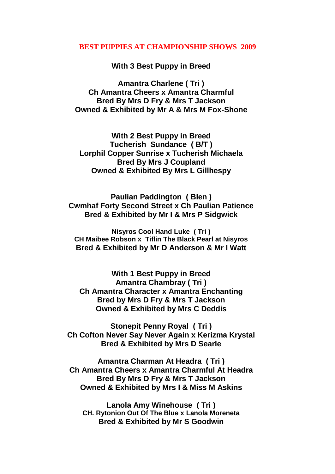## **BEST PUPPIES AT CHAMPIONSHIP SHOWS 2009**

**With 3 Best Puppy in Breed**

**Amantra Charlene ( Tri ) Ch Amantra Cheers x Amantra Charmful Bred By Mrs D Fry & Mrs T Jackson Owned & Exhibited by Mr A & Mrs M Fox-Shone**

**With 2 Best Puppy in Breed Tucherish Sundance ( B/T ) Lorphil Copper Sunrise x Tucherish Michaela Bred By Mrs J Coupland Owned & Exhibited By Mrs L Gillhespy**

**Paulian Paddington ( Blen ) Cwmhaf Forty Second Street x Ch Paulian Patience Bred & Exhibited by Mr I & Mrs P Sidgwick**

**Nisyros Cool Hand Luke ( Tri ) CH Maibee Robson x Tiflin The Black Pearl at Nisyros Bred & Exhibited by Mr D Anderson & Mr I Watt**

**With 1 Best Puppy in Breed Amantra Chambray ( Tri ) Ch Amantra Character x Amantra Enchanting Bred by Mrs D Fry & Mrs T Jackson Owned & Exhibited by Mrs C Deddis**

**Stonepit Penny Royal ( Tri ) Ch Cofton Never Say Never Again x Kerizma Krystal Bred & Exhibited by Mrs D Searle**

**Amantra Charman At Headra ( Tri ) Ch Amantra Cheers x Amantra Charmful At Headra Bred By Mrs D Fry & Mrs T Jackson Owned & Exhibited by Mrs I & Miss M Askins**

**Lanola Amy Winehouse ( Tri ) CH. Rytonion Out Of The Blue x Lanola Moreneta Bred & Exhibited by Mr S Goodwin**